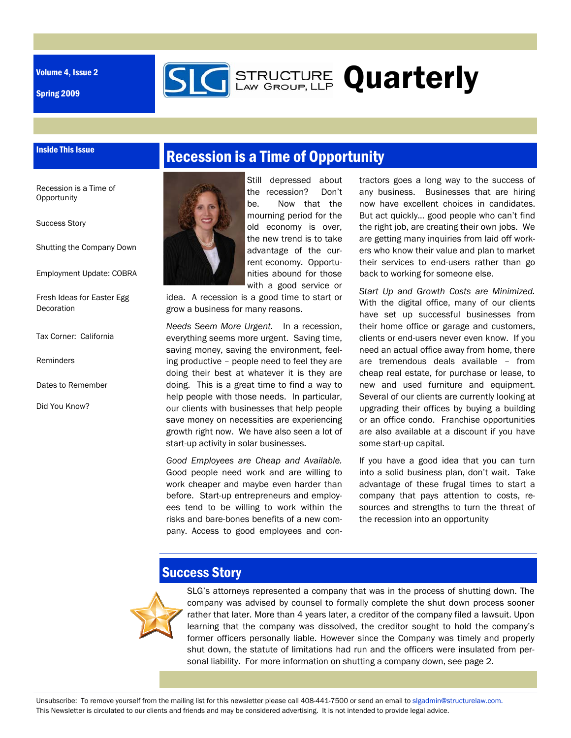Volume 4, Issue 2

Inside This Issue

Spring 2009



Recession is a Time of **Opportunity** 

Success Story

Shutting the Company Down

Employment Update: COBRA

Fresh Ideas for Easter Egg Decoration

Tax Corner: California

Reminders

Dates to Remember

Did You Know?



Still depressed about the recession? Don't be. Now that the mourning period for the old economy is over, the new trend is to take advantage of the current economy. Opportunities abound for those with a good service or

**STRUCTURE Quarterly** 

idea. A recession is a good time to start or grow a business for many reasons.

*Needs Seem More Urgent.* In a recession, everything seems more urgent. Saving time, saving money, saving the environment, feeling productive – people need to feel they are doing their best at whatever it is they are doing. This is a great time to find a way to help people with those needs. In particular, our clients with businesses that help people save money on necessities are experiencing growth right now. We have also seen a lot of start-up activity in solar businesses.

*Good Employees are Cheap and Available.* Good people need work and are willing to work cheaper and maybe even harder than before. Start-up entrepreneurs and employees tend to be willing to work within the risks and bare-bones benefits of a new company. Access to good employees and contractors goes a long way to the success of any business. Businesses that are hiring now have excellent choices in candidates. But act quickly… good people who can't find the right job, are creating their own jobs. We are getting many inquiries from laid off workers who know their value and plan to market their services to end-users rather than go back to working for someone else.

*Start Up and Growth Costs are Minimized.* With the digital office, many of our clients have set up successful businesses from their home office or garage and customers, clients or end-users never even know. If you need an actual office away from home, there are tremendous deals available – from cheap real estate, for purchase or lease, to new and used furniture and equipment. Several of our clients are currently looking at upgrading their offices by buying a building or an office condo. Franchise opportunities are also available at a discount if you have some start-up capital.

If you have a good idea that you can turn into a solid business plan, don't wait. Take advantage of these frugal times to start a company that pays attention to costs, resources and strengths to turn the threat of the recession into an opportunity

## Success Story



SLG's attorneys represented a company that was in the process of shutting down. The company was advised by counsel to formally complete the shut down process sooner rather that later. More than 4 years later, a creditor of the company filed a lawsuit. Upon learning that the company was dissolved, the creditor sought to hold the company's former officers personally liable. However since the Company was timely and properly shut down, the statute of limitations had run and the officers were insulated from personal liability. For more information on shutting a company down, see page 2.

Unsubscribe: To remove yourself from the mailing list for this newsletter please call 408-441-7500 or send an email to slgadmin@structurelaw.com. This Newsletter is circulated to our clients and friends and may be considered advertising. It is not intended to provide legal advice.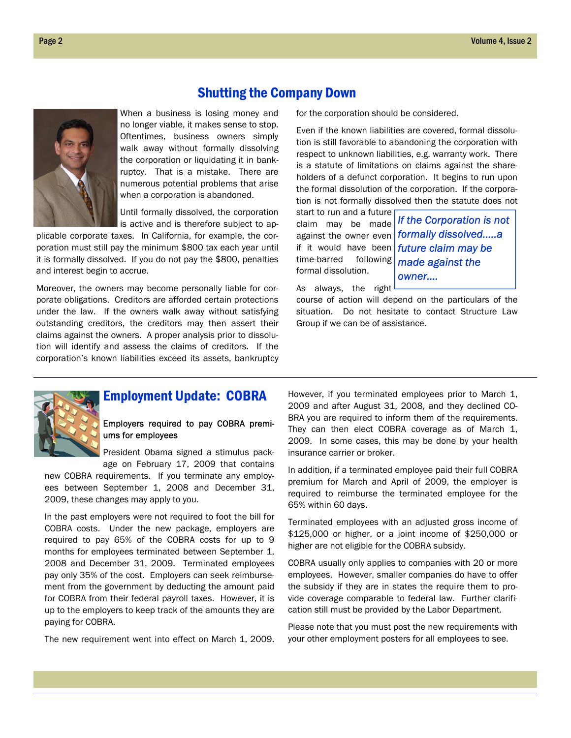### Shutting the Company Down

When a business is losing money and no longer viable, it makes sense to stop. Oftentimes, business owners simply walk away without formally dissolving the corporation or liquidating it in bankruptcy. That is a mistake. There are numerous potential problems that arise when a corporation is abandoned.

Until formally dissolved, the corporation is active and is therefore subject to ap-

plicable corporate taxes. In California, for example, the corporation must still pay the minimum \$800 tax each year until it is formally dissolved. If you do not pay the \$800, penalties and interest begin to accrue.

Moreover, the owners may become personally liable for corporate obligations. Creditors are afforded certain protections under the law. If the owners walk away without satisfying outstanding creditors, the creditors may then assert their claims against the owners. A proper analysis prior to dissolution will identify and assess the claims of creditors. If the corporation's known liabilities exceed its assets, bankruptcy for the corporation should be considered.

Even if the known liabilities are covered, formal dissolution is still favorable to abandoning the corporation with respect to unknown liabilities, e.g. warranty work. There is a statute of limitations on claims against the shareholders of a defunct corporation. It begins to run upon the formal dissolution of the corporation. If the corporation is not formally dissolved then the statute does not

start to run and a future time-barred following formal dissolution.

claim may be made *If the Corporation is not*  against the owner even *formally dissolved…..a*  if it would have been *future claim may be made against the owner….* 

As always, the right

course of action will depend on the particulars of the situation. Do not hesitate to contact Structure Law Group if we can be of assistance.



### Employment Update: COBRA

#### Employers required to pay COBRA premiums for employees

President Obama signed a stimulus package on February 17, 2009 that contains

new COBRA requirements. If you terminate any employees between September 1, 2008 and December 31, 2009, these changes may apply to you.

In the past employers were not required to foot the bill for COBRA costs. Under the new package, employers are required to pay 65% of the COBRA costs for up to 9 months for employees terminated between September 1, 2008 and December 31, 2009. Terminated employees pay only 35% of the cost. Employers can seek reimbursement from the government by deducting the amount paid for COBRA from their federal payroll taxes. However, it is up to the employers to keep track of the amounts they are paying for COBRA.

The new requirement went into effect on March 1, 2009.

However, if you terminated employees prior to March 1, 2009 and after August 31, 2008, and they declined CO-BRA you are required to inform them of the requirements. They can then elect COBRA coverage as of March 1, 2009. In some cases, this may be done by your health insurance carrier or broker.

In addition, if a terminated employee paid their full COBRA premium for March and April of 2009, the employer is required to reimburse the terminated employee for the 65% within 60 days.

Terminated employees with an adjusted gross income of \$125,000 or higher, or a joint income of \$250,000 or higher are not eligible for the COBRA subsidy.

COBRA usually only applies to companies with 20 or more employees. However, smaller companies do have to offer the subsidy if they are in states the require them to provide coverage comparable to federal law. Further clarification still must be provided by the Labor Department.

Please note that you must post the new requirements with your other employment posters for all employees to see.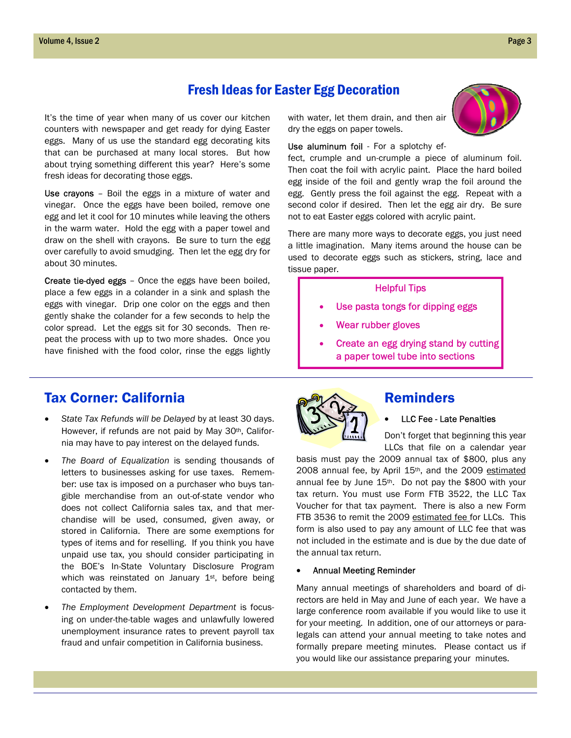## Fresh Ideas for Easter Egg Decoration

It's the time of year when many of us cover our kitchen counters with newspaper and get ready for dying Easter eggs. Many of us use the standard egg decorating kits that can be purchased at many local stores. But how about trying something different this year? Here's some fresh ideas for decorating those eggs.

Use crayons – Boil the eggs in a mixture of water and vinegar. Once the eggs have been boiled, remove one egg and let it cool for 10 minutes while leaving the others in the warm water. Hold the egg with a paper towel and draw on the shell with crayons. Be sure to turn the egg over carefully to avoid smudging. Then let the egg dry for about 30 minutes.

Create tie-dyed eggs – Once the eggs have been boiled, place a few eggs in a colander in a sink and splash the eggs with vinegar. Drip one color on the eggs and then gently shake the colander for a few seconds to help the color spread. Let the eggs sit for 30 seconds. Then repeat the process with up to two more shades. Once you have finished with the food color, rinse the eggs lightly

### Tax Corner: California

- *State Tax Refunds will be Delayed* by at least 30 days. However, if refunds are not paid by May 30<sup>th</sup>, California may have to pay interest on the delayed funds.
- *The Board of Equalization* is sending thousands of letters to businesses asking for use taxes. Remember: use tax is imposed on a purchaser who buys tangible merchandise from an out-of-state vendor who does not collect California sales tax, and that merchandise will be used, consumed, given away, or stored in California. There are some exemptions for types of items and for reselling. If you think you have unpaid use tax, you should consider participating in the BOE's In-State Voluntary Disclosure Program which was reinstated on January  $1<sup>st</sup>$ , before being contacted by them.
- *The Employment Development Department* is focusing on under-the-table wages and unlawfully lowered unemployment insurance rates to prevent payroll tax fraud and unfair competition in California business.

with water, let them drain, and then air dry the eggs on paper towels.

Use aluminum foil - For a splotchy ef-

fect, crumple and un-crumple a piece of aluminum foil. Then coat the foil with acrylic paint. Place the hard boiled egg inside of the foil and gently wrap the foil around the egg. Gently press the foil against the egg. Repeat with a second color if desired. Then let the egg air dry. Be sure not to eat Easter eggs colored with acrylic paint.

There are many more ways to decorate eggs, you just need a little imagination. Many items around the house can be used to decorate eggs such as stickers, string, lace and tissue paper.

#### Helpful Tips

- Use pasta tongs for dipping eggs
- Wear rubber gloves
- Create an egg drying stand by cutting a paper towel tube into sections



#### Reminders

#### • LLC Fee - Late Penalties

Don't forget that beginning this year LLCs that file on a calendar year

basis must pay the 2009 annual tax of \$800, plus any 2008 annual fee, by April 15<sup>th</sup>, and the 2009 estimated annual fee by June 15th. Do not pay the \$800 with your tax return. You must use Form FTB 3522, the LLC Tax Voucher for that tax payment. There is also a new Form FTB 3536 to remit the 2009 estimated fee for LLCs. This form is also used to pay any amount of LLC fee that was not included in the estimate and is due by the due date of the annual tax return.

#### • Annual Meeting Reminder

Many annual meetings of shareholders and board of directors are held in May and June of each year. We have a large conference room available if you would like to use it for your meeting. In addition, one of our attorneys or paralegals can attend your annual meeting to take notes and formally prepare meeting minutes. Please contact us if you would like our assistance preparing your minutes.